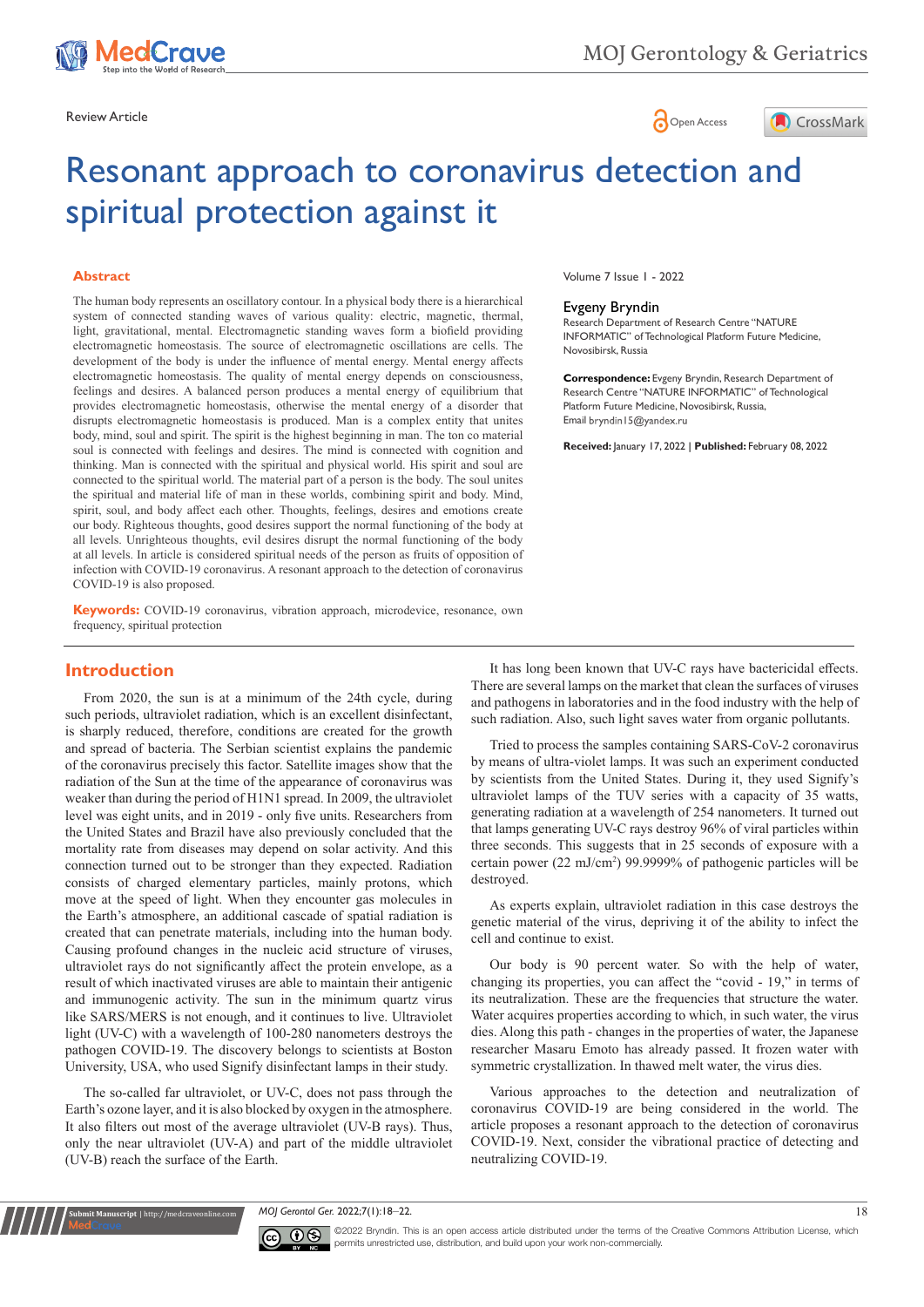





# Resonant approach to coronavirus detection and spiritual protection against it

#### **Abstract**

The human body represents an oscillatory contour. In a physical body there is a hierarchical system of connected standing waves of various quality: electric, magnetic, thermal, light, gravitational, mental. Electromagnetic standing waves form a biofield providing electromagnetic homeostasis. The source of electromagnetic oscillations are cells. The development of the body is under the influence of mental energy. Mental energy affects electromagnetic homeostasis. The quality of mental energy depends on consciousness, feelings and desires. A balanced person produces a mental energy of equilibrium that provides electromagnetic homeostasis, otherwise the mental energy of a disorder that disrupts electromagnetic homeostasis is produced. Man is a complex entity that unites body, mind, soul and spirit. The spirit is the highest beginning in man. The ton co material soul is connected with feelings and desires. The mind is connected with cognition and thinking. Man is connected with the spiritual and physical world. His spirit and soul are connected to the spiritual world. The material part of a person is the body. The soul unites the spiritual and material life of man in these worlds, combining spirit and body. Mind, spirit, soul, and body affect each other. Thoughts, feelings, desires and emotions create our body. Righteous thoughts, good desires support the normal functioning of the body at all levels. Unrighteous thoughts, evil desires disrupt the normal functioning of the body at all levels. In article is considered spiritual needs of the person as fruits of opposition of infection with COVID-19 coronavirus. A resonant approach to the detection of coronavirus COVID-19 is also proposed.

**Keywords:** COVID-19 coronavirus, vibration approach, microdevice, resonance, own frequency, spiritual protection

Volume 7 Issue 1 - 2022

#### Evgeny Bryndin

Research Department of Research Centre "NATURE INFORMATIC" of Technological Platform Future Medicine, Novosibirsk, Russia

**Correspondence:** Evgeny Bryndin, Research Department of Research Centre "NATURE INFORMATIC" of Technological Platform Future Medicine, Novosibirsk, Russia, Email bryndin I 5@yandex.ru

**Received:** January 17, 2022 | **Published:** February 08, 2022

## **Introduction**

From 2020, the sun is at a minimum of the 24th cycle, during such periods, ultraviolet radiation, which is an excellent disinfectant, is sharply reduced, therefore, conditions are created for the growth and spread of bacteria. The Serbian scientist explains the pandemic of the coronavirus precisely this factor. Satellite images show that the radiation of the Sun at the time of the appearance of coronavirus was weaker than during the period of H1N1 spread. In 2009, the ultraviolet level was eight units, and in 2019 - only five units. Researchers from the United States and Brazil have also previously concluded that the mortality rate from diseases may depend on solar activity. And this connection turned out to be stronger than they expected. Radiation consists of charged elementary particles, mainly protons, which move at the speed of light. When they encounter gas molecules in the Earth's atmosphere, an additional cascade of spatial radiation is created that can penetrate materials, including into the human body. Causing profound changes in the nucleic acid structure of viruses, ultraviolet rays do not significantly affect the protein envelope, as a result of which inactivated viruses are able to maintain their antigenic and immunogenic activity. The sun in the minimum quartz virus like SARS/MERS is not enough, and it continues to live. Ultraviolet light (UV-C) with a wavelength of 100-280 nanometers destroys the pathogen COVID-19. The discovery belongs to scientists at Boston University, USA, who used Signify disinfectant lamps in their study.

The so-called far ultraviolet, or UV-C, does not pass through the Earth's ozone layer, and it is also blocked by oxygen in the atmosphere. It also filters out most of the average ultraviolet (UV-B rays). Thus, only the near ultraviolet (UV-A) and part of the middle ultraviolet (UV-B) reach the surface of the Earth.

**it Manuscript** | http://medcraveonline.

It has long been known that UV-C rays have bactericidal effects. There are several lamps on the market that clean the surfaces of viruses and pathogens in laboratories and in the food industry with the help of such radiation. Also, such light saves water from organic pollutants.

Tried to process the samples containing SARS-CoV-2 coronavirus by means of ultra-violet lamps. It was such an experiment conducted by scientists from the United States. During it, they used Signify's ultraviolet lamps of the TUV series with a capacity of 35 watts, generating radiation at a wavelength of 254 nanometers. It turned out that lamps generating UV-C rays destroy 96% of viral particles within three seconds. This suggests that in 25 seconds of exposure with a certain power (22 mJ/cm<sup>2</sup> ) 99.9999% of pathogenic particles will be destroyed.

As experts explain, ultraviolet radiation in this case destroys the genetic material of the virus, depriving it of the ability to infect the cell and continue to exist.

Our body is 90 percent water. So with the help of water, changing its properties, you can affect the "covid - 19," in terms of its neutralization. These are the frequencies that structure the water. Water acquires properties according to which, in such water, the virus dies. Along this path - changes in the properties of water, the Japanese researcher Masaru Emoto has already passed. It frozen water with symmetric crystallization. In thawed melt water, the virus dies.

Various approaches to the detection and neutralization of coronavirus COVID-19 are being considered in the world. The article proposes a resonant approach to the detection of coronavirus COVID-19. Next, consider the vibrational practice of detecting and neutralizing COVID-19.

*MOJ Gerontol Ger.* 2022;7(1):18‒22. 18



©2022 Bryndin. This is an open access article distributed under the terms of the [Creative Commons Attribution License](https://creativecommons.org/licenses/by-nc/4.0/), which permits unrestricted use, distribution, and build upon your work non-commercially.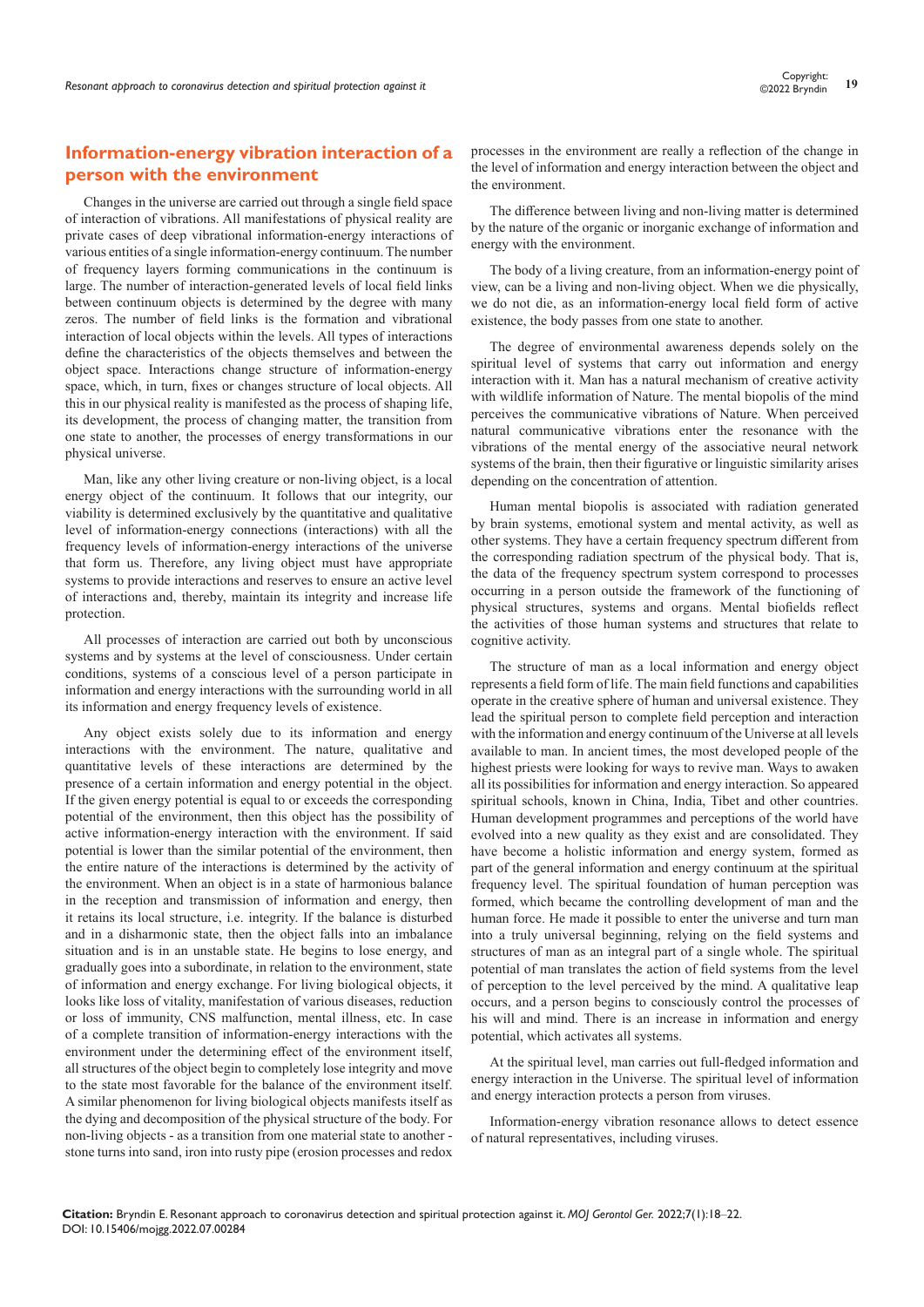## **Information-energy vibration interaction of a person with the environment**

Changes in the universe are carried out through a single field space of interaction of vibrations. All manifestations of physical reality are private cases of deep vibrational information-energy interactions of various entities of a single information-energy continuum. The number of frequency layers forming communications in the continuum is large. The number of interaction-generated levels of local field links between continuum objects is determined by the degree with many zeros. The number of field links is the formation and vibrational interaction of local objects within the levels. All types of interactions define the characteristics of the objects themselves and between the object space. Interactions change structure of information-energy space, which, in turn, fixes or changes structure of local objects. All this in our physical reality is manifested as the process of shaping life, its development, the process of changing matter, the transition from one state to another, the processes of energy transformations in our physical universe.

Man, like any other living creature or non-living object, is a local energy object of the continuum. It follows that our integrity, our viability is determined exclusively by the quantitative and qualitative level of information-energy connections (interactions) with all the frequency levels of information-energy interactions of the universe that form us. Therefore, any living object must have appropriate systems to provide interactions and reserves to ensure an active level of interactions and, thereby, maintain its integrity and increase life protection.

All processes of interaction are carried out both by unconscious systems and by systems at the level of consciousness. Under certain conditions, systems of a conscious level of a person participate in information and energy interactions with the surrounding world in all its information and energy frequency levels of existence.

Any object exists solely due to its information and energy interactions with the environment. The nature, qualitative and quantitative levels of these interactions are determined by the presence of a certain information and energy potential in the object. If the given energy potential is equal to or exceeds the corresponding potential of the environment, then this object has the possibility of active information-energy interaction with the environment. If said potential is lower than the similar potential of the environment, then the entire nature of the interactions is determined by the activity of the environment. When an object is in a state of harmonious balance in the reception and transmission of information and energy, then it retains its local structure, i.e. integrity. If the balance is disturbed and in a disharmonic state, then the object falls into an imbalance situation and is in an unstable state. He begins to lose energy, and gradually goes into a subordinate, in relation to the environment, state of information and energy exchange. For living biological objects, it looks like loss of vitality, manifestation of various diseases, reduction or loss of immunity, CNS malfunction, mental illness, etc. In case of a complete transition of information-energy interactions with the environment under the determining effect of the environment itself, all structures of the object begin to completely lose integrity and move to the state most favorable for the balance of the environment itself. A similar phenomenon for living biological objects manifests itself as the dying and decomposition of the physical structure of the body. For non-living objects - as a transition from one material state to another stone turns into sand, iron into rusty pipe (erosion processes and redox

processes in the environment are really a reflection of the change in the level of information and energy interaction between the object and the environment.

The difference between living and non-living matter is determined by the nature of the organic or inorganic exchange of information and energy with the environment.

The body of a living creature, from an information-energy point of view, can be a living and non-living object. When we die physically, we do not die, as an information-energy local field form of active existence, the body passes from one state to another.

The degree of environmental awareness depends solely on the spiritual level of systems that carry out information and energy interaction with it. Man has a natural mechanism of creative activity with wildlife information of Nature. The mental biopolis of the mind perceives the communicative vibrations of Nature. When perceived natural communicative vibrations enter the resonance with the vibrations of the mental energy of the associative neural network systems of the brain, then their figurative or linguistic similarity arises depending on the concentration of attention.

Human mental biopolis is associated with radiation generated by brain systems, emotional system and mental activity, as well as other systems. They have a certain frequency spectrum different from the corresponding radiation spectrum of the physical body. That is, the data of the frequency spectrum system correspond to processes occurring in a person outside the framework of the functioning of physical structures, systems and organs. Mental biofields reflect the activities of those human systems and structures that relate to cognitive activity.

The structure of man as a local information and energy object represents a field form of life. The main field functions and capabilities operate in the creative sphere of human and universal existence. They lead the spiritual person to complete field perception and interaction with the information and energy continuum of the Universe at all levels available to man. In ancient times, the most developed people of the highest priests were looking for ways to revive man. Ways to awaken all its possibilities for information and energy interaction. So appeared spiritual schools, known in China, India, Tibet and other countries. Human development programmes and perceptions of the world have evolved into a new quality as they exist and are consolidated. They have become a holistic information and energy system, formed as part of the general information and energy continuum at the spiritual frequency level. The spiritual foundation of human perception was formed, which became the controlling development of man and the human force. He made it possible to enter the universe and turn man into a truly universal beginning, relying on the field systems and structures of man as an integral part of a single whole. The spiritual potential of man translates the action of field systems from the level of perception to the level perceived by the mind. A qualitative leap occurs, and a person begins to consciously control the processes of his will and mind. There is an increase in information and energy potential, which activates all systems.

At the spiritual level, man carries out full-fledged information and energy interaction in the Universe. The spiritual level of information and energy interaction protects a person from viruses.

Information-energy vibration resonance allows to detect essence of natural representatives, including viruses.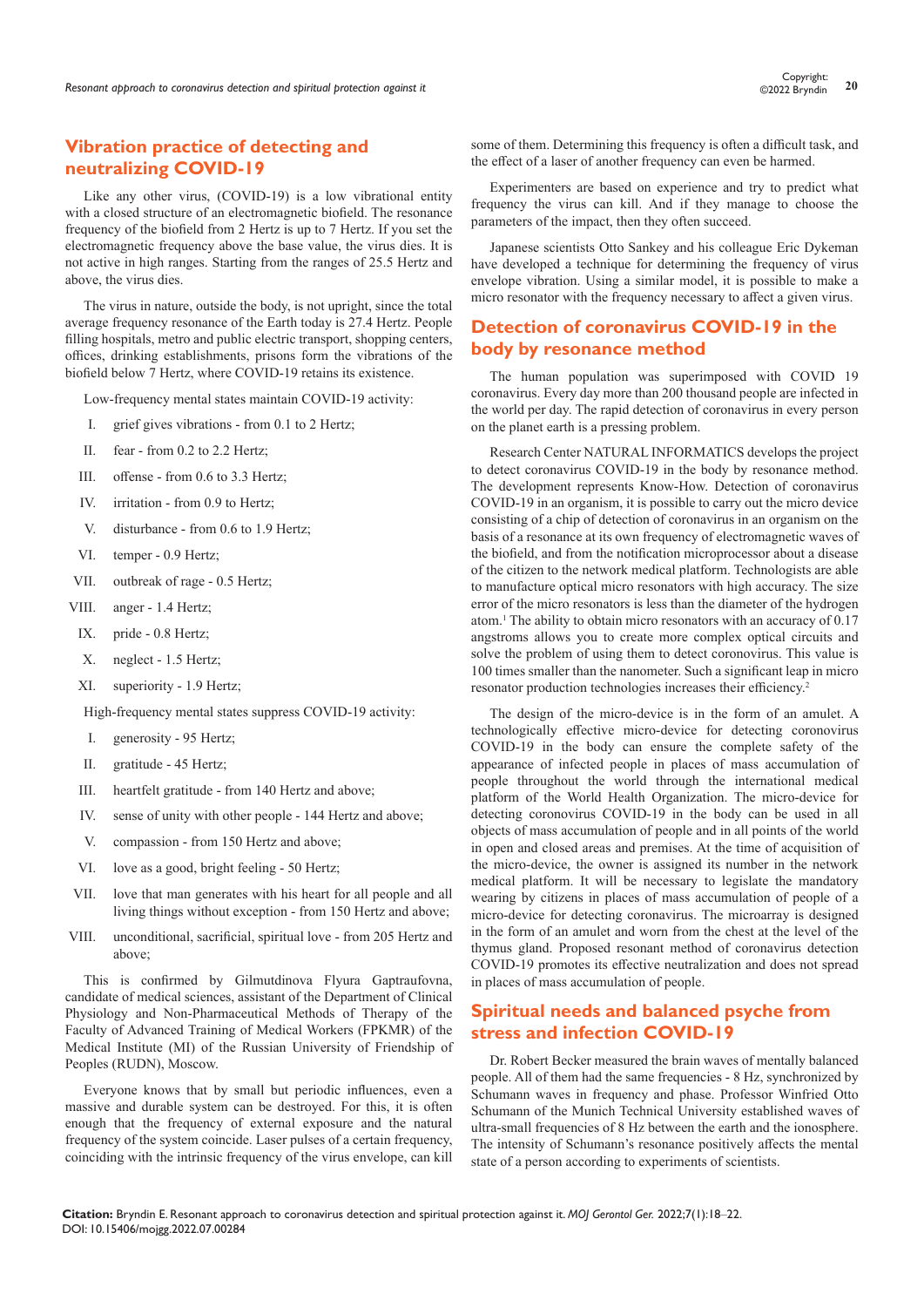## **Vibration practice of detecting and neutralizing COVID-19**

Like any other virus, (COVID-19) is a low vibrational entity with a closed structure of an electromagnetic biofield. The resonance frequency of the biofield from 2 Hertz is up to 7 Hertz. If you set the electromagnetic frequency above the base value, the virus dies. It is not active in high ranges. Starting from the ranges of 25.5 Hertz and above, the virus dies.

The virus in nature, outside the body, is not upright, since the total average frequency resonance of the Earth today is 27.4 Hertz. People filling hospitals, metro and public electric transport, shopping centers, offices, drinking establishments, prisons form the vibrations of the biofield below 7 Hertz, where COVID-19 retains its existence.

Low-frequency mental states maintain COVID-19 activity:

- I. grief gives vibrations from 0.1 to 2 Hertz;
- II. fear from 0.2 to 2.2 Hertz;
- III. offense from 0.6 to 3.3 Hertz;
- IV. irritation from 0.9 to Hertz;
- V. disturbance from 0.6 to 1.9 Hertz;
- VI. temper 0.9 Hertz;
- VII. outbreak of rage 0.5 Hertz;
- VIII. anger 1.4 Hertz;
- IX. pride 0.8 Hertz;
- X. neglect 1.5 Hertz;
- XI. superiority 1.9 Hertz;

High-frequency mental states suppress COVID-19 activity:

- I. generosity 95 Hertz;
- II. gratitude 45 Hertz;
- III. heartfelt gratitude from 140 Hertz and above;
- IV. sense of unity with other people 144 Hertz and above;
- V. compassion from 150 Hertz and above;
- VI. love as a good, bright feeling 50 Hertz;
- VII. love that man generates with his heart for all people and all living things without exception - from 150 Hertz and above;
- VIII. unconditional, sacrificial, spiritual love from 205 Hertz and above;

This is confirmed by Gilmutdinova Flyura Gaptraufovna, candidate of medical sciences, assistant of the Department of Clinical Physiology and Non-Pharmaceutical Methods of Therapy of the Faculty of Advanced Training of Medical Workers (FPKMR) of the Medical Institute (MI) of the Russian University of Friendship of Peoples (RUDN), Moscow.

Everyone knows that by small but periodic influences, even a massive and durable system can be destroyed. For this, it is often enough that the frequency of external exposure and the natural frequency of the system coincide. Laser pulses of a certain frequency, coinciding with the intrinsic frequency of the virus envelope, can kill

some of them. Determining this frequency is often a difficult task, and the effect of a laser of another frequency can even be harmed.

Experimenters are based on experience and try to predict what frequency the virus can kill. And if they manage to choose the parameters of the impact, then they often succeed.

Japanese scientists Otto Sankey and his colleague Eric Dykeman have developed a technique for determining the frequency of virus envelope vibration. Using a similar model, it is possible to make a micro resonator with the frequency necessary to affect a given virus.

## **Detection of coronavirus COVID-19 in the body by resonance method**

The human population was superimposed with COVID 19 coronavirus. Every day more than 200 thousand people are infected in the world per day. The rapid detection of coronavirus in every person on the planet earth is a pressing problem.

Research Center NATURAL INFORMATICS develops the project to detect coronavirus COVID-19 in the body by resonance method. The development represents Know-How. Detection of coronavirus COVID-19 in an organism, it is possible to carry out the micro device consisting of a chip of detection of coronavirus in an organism on the basis of a resonance at its own frequency of electromagnetic waves of the biofield, and from the notification microprocessor about a disease of the citizen to the network medical platform. Technologists are able to manufacture optical micro resonators with high accuracy. The size error of the micro resonators is less than the diameter of the hydrogen atom.1 The ability to obtain micro resonators with an accuracy of 0.17 angstroms allows you to create more complex optical circuits and solve the problem of using them to detect coronovirus. This value is 100 times smaller than the nanometer. Such a significant leap in micro resonator production technologies increases their efficiency.<sup>2</sup>

The design of the micro-device is in the form of an amulet. A technologically effective micro-device for detecting coronovirus COVID-19 in the body can ensure the complete safety of the appearance of infected people in places of mass accumulation of people throughout the world through the international medical platform of the World Health Organization. The micro-device for detecting coronovirus COVID-19 in the body can be used in all objects of mass accumulation of people and in all points of the world in open and closed areas and premises. At the time of acquisition of the micro-device, the owner is assigned its number in the network medical platform. It will be necessary to legislate the mandatory wearing by citizens in places of mass accumulation of people of a micro-device for detecting coronavirus. The microarray is designed in the form of an amulet and worn from the chest at the level of the thymus gland. Proposed resonant method of coronavirus detection COVID-19 promotes its effective neutralization and does not spread in places of mass accumulation of people.

## **Spiritual needs and balanced psyche from stress and infection COVID-19**

Dr. Robert Becker measured the brain waves of mentally balanced people. All of them had the same frequencies - 8 Hz, synchronized by Schumann waves in frequency and phase. Professor Winfried Otto Schumann of the Munich Technical University established waves of ultra-small frequencies of 8 Hz between the earth and the ionosphere. The intensity of Schumann's resonance positively affects the mental state of a person according to experiments of scientists.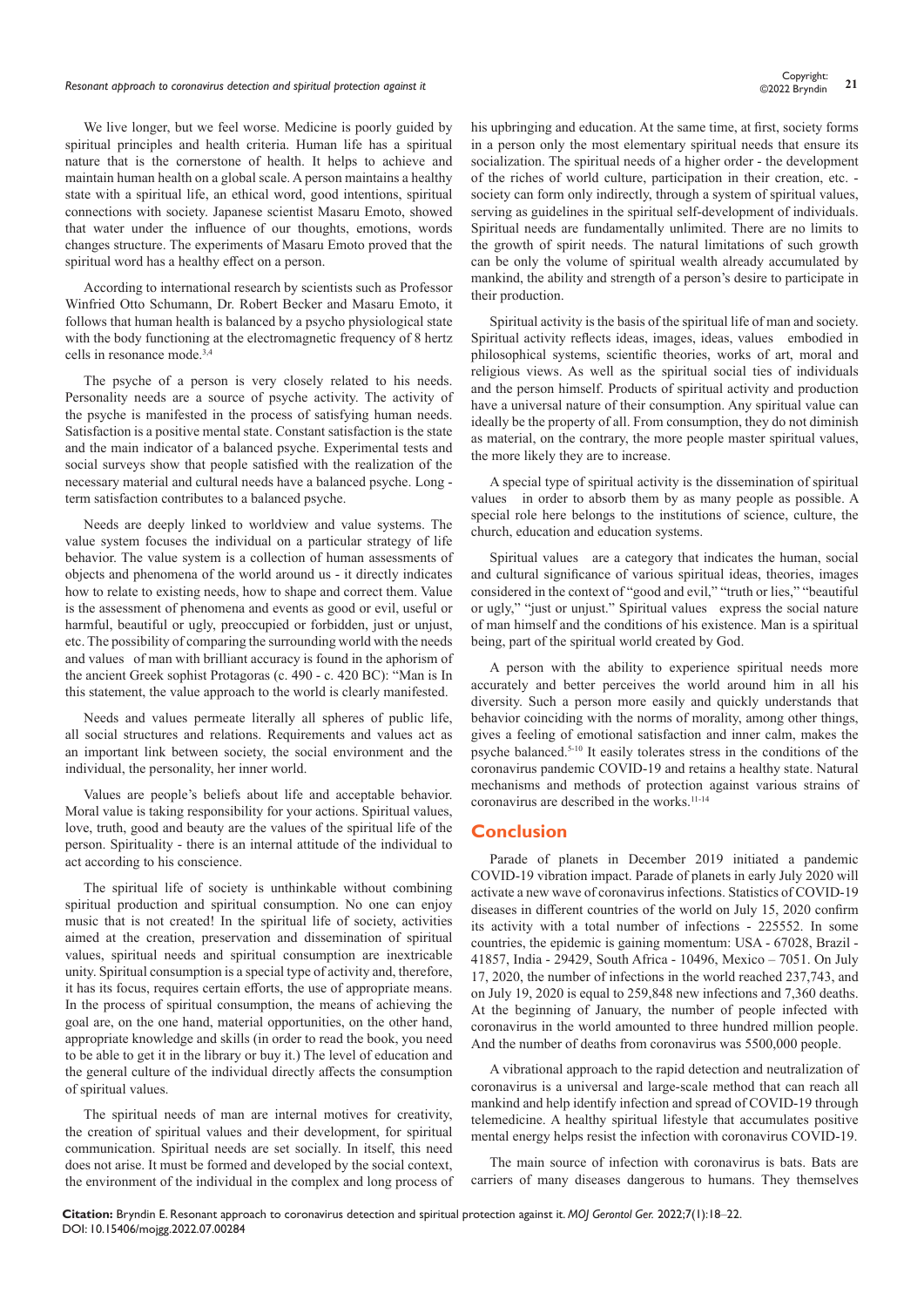## *Resonant approach to coronavirus detection and spiritual protection against it* **<sup>21</sup>** Copyright:

We live longer, but we feel worse. Medicine is poorly guided by spiritual principles and health criteria. Human life has a spiritual nature that is the cornerstone of health. It helps to achieve and maintain human health on a global scale. A person maintains a healthy state with a spiritual life, an ethical word, good intentions, spiritual connections with society. Japanese scientist Masaru Emoto, showed that water under the influence of our thoughts, emotions, words changes structure. The experiments of Masaru Emoto proved that the spiritual word has a healthy effect on a person.

According to international research by scientists such as Professor Winfried Otto Schumann, Dr. Robert Becker and Masaru Emoto, it follows that human health is balanced by a psycho physiological state with the body functioning at the electromagnetic frequency of 8 hertz cells in resonance mode.3,4

The psyche of a person is very closely related to his needs. Personality needs are a source of psyche activity. The activity of the psyche is manifested in the process of satisfying human needs. Satisfaction is a positive mental state. Constant satisfaction is the state and the main indicator of a balanced psyche. Experimental tests and social surveys show that people satisfied with the realization of the necessary material and cultural needs have a balanced psyche. Long term satisfaction contributes to a balanced psyche.

Needs are deeply linked to worldview and value systems. The value system focuses the individual on a particular strategy of life behavior. The value system is a collection of human assessments of objects and phenomena of the world around us - it directly indicates how to relate to existing needs, how to shape and correct them. Value is the assessment of phenomena and events as good or evil, useful or harmful, beautiful or ugly, preoccupied or forbidden, just or unjust, etc. The possibility of comparing the surrounding world with the needs and values of man with brilliant accuracy is found in the aphorism of the ancient Greek sophist Protagoras (c. 490 - c. 420 BC): "Man is In this statement, the value approach to the world is clearly manifested.

Needs and values permeate literally all spheres of public life, all social structures and relations. Requirements and values act as an important link between society, the social environment and the individual, the personality, her inner world.

Values are people's beliefs about life and acceptable behavior. Moral value is taking responsibility for your actions. Spiritual values, love, truth, good and beauty are the values of the spiritual life of the person. Spirituality - there is an internal attitude of the individual to act according to his conscience.

The spiritual life of society is unthinkable without combining spiritual production and spiritual consumption. No one can enjoy music that is not created! In the spiritual life of society, activities aimed at the creation, preservation and dissemination of spiritual values, spiritual needs and spiritual consumption are inextricable unity. Spiritual consumption is a special type of activity and, therefore, it has its focus, requires certain efforts, the use of appropriate means. In the process of spiritual consumption, the means of achieving the goal are, on the one hand, material opportunities, on the other hand, appropriate knowledge and skills (in order to read the book, you need to be able to get it in the library or buy it.) The level of education and the general culture of the individual directly affects the consumption of spiritual values.

The spiritual needs of man are internal motives for creativity, the creation of spiritual values and their development, for spiritual communication. Spiritual needs are set socially. In itself, this need does not arise. It must be formed and developed by the social context, the environment of the individual in the complex and long process of his upbringing and education. At the same time, at first, society forms in a person only the most elementary spiritual needs that ensure its socialization. The spiritual needs of a higher order - the development of the riches of world culture, participation in their creation, etc. society can form only indirectly, through a system of spiritual values, serving as guidelines in the spiritual self-development of individuals. Spiritual needs are fundamentally unlimited. There are no limits to the growth of spirit needs. The natural limitations of such growth can be only the volume of spiritual wealth already accumulated by mankind, the ability and strength of a person's desire to participate in their production.

Spiritual activity is the basis of the spiritual life of man and society. Spiritual activity reflects ideas, images, ideas, values embodied in philosophical systems, scientific theories, works of art, moral and religious views. As well as the spiritual social ties of individuals and the person himself. Products of spiritual activity and production have a universal nature of their consumption. Any spiritual value can ideally be the property of all. From consumption, they do not diminish as material, on the contrary, the more people master spiritual values, the more likely they are to increase.

A special type of spiritual activity is the dissemination of spiritual values in order to absorb them by as many people as possible. A special role here belongs to the institutions of science, culture, the church, education and education systems.

Spiritual values are a category that indicates the human, social and cultural significance of various spiritual ideas, theories, images considered in the context of "good and evil," "truth or lies," "beautiful or ugly," "just or unjust." Spiritual values express the social nature of man himself and the conditions of his existence. Man is a spiritual being, part of the spiritual world created by God.

A person with the ability to experience spiritual needs more accurately and better perceives the world around him in all his diversity. Such a person more easily and quickly understands that behavior coinciding with the norms of morality, among other things, gives a feeling of emotional satisfaction and inner calm, makes the psyche balanced.5-10 It easily tolerates stress in the conditions of the coronavirus pandemic COVID-19 and retains a healthy state. Natural mechanisms and methods of protection against various strains of coronavirus are described in the works.<sup>11-14</sup>

#### **Conclusion**

Parade of planets in December 2019 initiated a pandemic COVID-19 vibration impact. Parade of planets in early July 2020 will activate a new wave of coronavirus infections. Statistics of COVID-19 diseases in different countries of the world on July 15, 2020 confirm its activity with a total number of infections - 225552. In some countries, the epidemic is gaining momentum: USA - 67028, Brazil - 41857, India - 29429, South Africa - 10496, Mexico – 7051. On July 17, 2020, the number of infections in the world reached 237,743, and on July 19, 2020 is equal to 259,848 new infections and 7,360 deaths. At the beginning of January, the number of people infected with coronavirus in the world amounted to three hundred million people. And the number of deaths from coronavirus was 5500,000 people.

A vibrational approach to the rapid detection and neutralization of coronavirus is a universal and large-scale method that can reach all mankind and help identify infection and spread of COVID-19 through telemedicine. A healthy spiritual lifestyle that accumulates positive mental energy helps resist the infection with coronavirus COVID-19.

The main source of infection with coronavirus is bats. Bats are carriers of many diseases dangerous to humans. They themselves

**Citation:** Bryndin E. Resonant approach to coronavirus detection and spiritual protection against it. *MOJ Gerontol Ger.* 2022;7(1):18‒22. DOI: [10.15406/mojgg.2022.07.00284](https://doi.org/10.15406/mojgg.2022.07.00284)